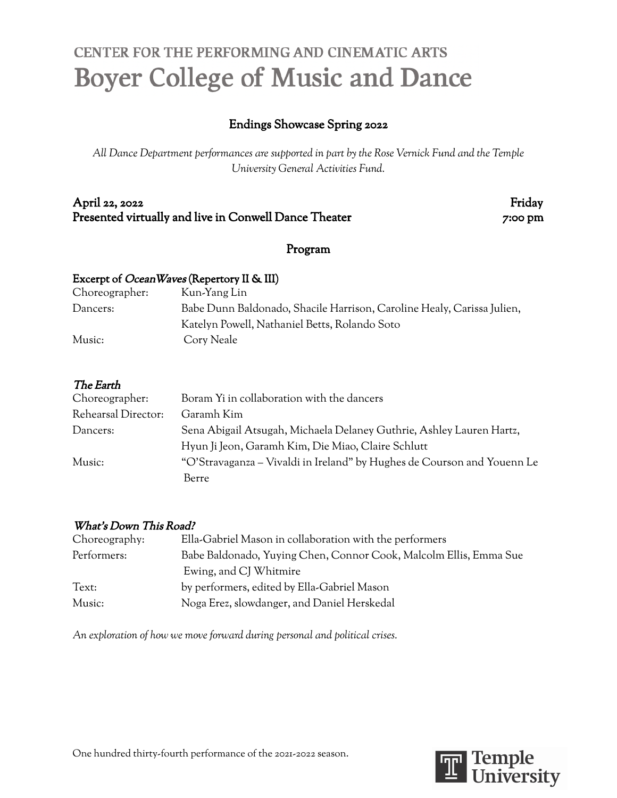# CENTER FOR THE PERFORMING AND CINEMATIC ARTS **Boyer College of Music and Dance**

### Endings Showcase Spring 2022

*All Dance Department performances are supported in part by the Rose Vernick Fund and the Temple University General Activities Fund.*

#### April 22, 2022 Friday Presented virtually and live in Conwell Dance Theater 7:00 pm

#### Program

#### Excerpt of OceanWaves (Repertory II & III)

| Choreographer: | Kun-Yang Lin                                                           |
|----------------|------------------------------------------------------------------------|
| Dancers:       | Babe Dunn Baldonado, Shacile Harrison, Caroline Healy, Carissa Julien, |
|                | Katelyn Powell, Nathaniel Betts, Rolando Soto                          |
| Music:         | Cory Neale                                                             |
|                |                                                                        |

#### The Earth

| Choreographer:      | Boram Yi in collaboration with the dancers                              |
|---------------------|-------------------------------------------------------------------------|
| Rehearsal Director: | Garamh Kim                                                              |
| Dancers:            | Sena Abigail Atsugah, Michaela Delaney Guthrie, Ashley Lauren Hartz,    |
|                     | Hyun Ji Jeon, Garamh Kim, Die Miao, Claire Schlutt                      |
| Music:              | "O'Stravaganza – Vivaldi in Ireland" by Hughes de Courson and Youenn Le |
|                     | Berre                                                                   |

#### What's Down This Road?

| Choreography: | Ella-Gabriel Mason in collaboration with the performers           |
|---------------|-------------------------------------------------------------------|
| Performers:   | Babe Baldonado, Yuying Chen, Connor Cook, Malcolm Ellis, Emma Sue |
|               | Ewing, and CJ Whitmire                                            |
| Text:         | by performers, edited by Ella-Gabriel Mason                       |
| Music:        | Noga Erez, slowdanger, and Daniel Herskedal                       |

*An exploration of how we move forward during personal and political crises.*

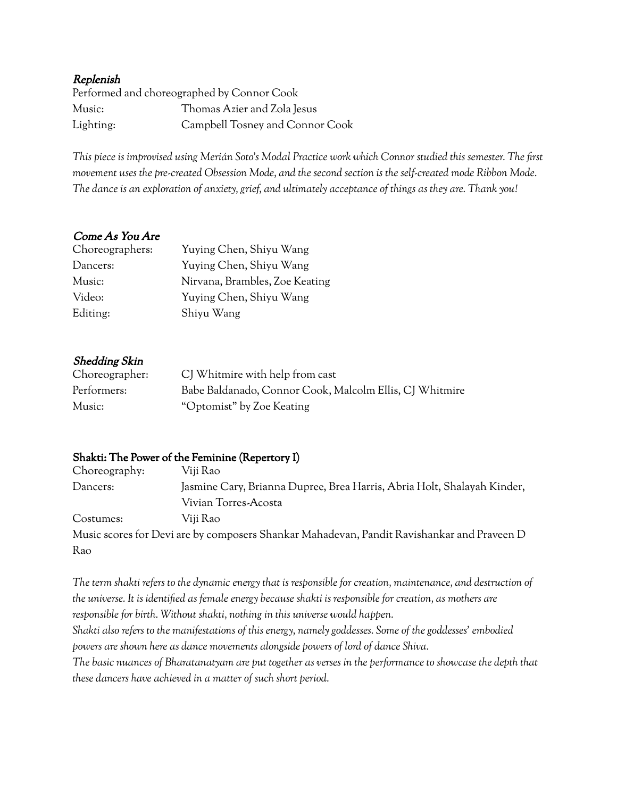#### Replenish

|           | Performed and choreographed by Connor Cook |
|-----------|--------------------------------------------|
| Music:    | Thomas Azier and Zola Jesus                |
| Lighting: | Campbell Tosney and Connor Cook            |

This piece is improvised using Merián Soto's Modal Practice work which Connor studied this semester. The first *movement uses the pre-created Obsession Mode, and the second section is the self-created mode Ribbon Mode.* The dance is an exploration of anxiety, grief, and ultimately acceptance of things as they are. Thank you!

#### Come As You Are

| Choreographers: | Yuying Chen, Shiyu Wang        |
|-----------------|--------------------------------|
| Dancers:        | Yuying Chen, Shiyu Wang        |
| Music:          | Nirvana, Brambles, Zoe Keating |
| Video:          | Yuying Chen, Shiyu Wang        |
| Editing:        | Shiyu Wang                     |

#### Shedding Skin

| Choreographer: | CJ Whitmire with help from cast                         |
|----------------|---------------------------------------------------------|
| Performers:    | Babe Baldanado, Connor Cook, Malcolm Ellis, CJ Whitmire |
| Music:         | "Optomist" by Zoe Keating                               |

#### Shakti: The Power of the Feminine (Repertory I)

| Choreography: | Viji Rao                                                                                   |
|---------------|--------------------------------------------------------------------------------------------|
| Dancers:      | Jasmine Cary, Brianna Dupree, Brea Harris, Abria Holt, Shalayah Kinder,                    |
|               | Vivian Torres-Acosta                                                                       |
| Costumes:     | Viji Rao                                                                                   |
|               | Music scores for Devi are by composers Shankar Mahadevan, Pandit Ravishankar and Praveen D |
| Rao           |                                                                                            |

The term shakti refers to the dynamic energy that is responsible for creation, maintenance, and destruction of the universe. It is identified as female energy because shakti is responsible for creation, as mothers are *responsible for birth. Without shakti, nothing in this universe would happen. Shakti also refers to the manifestations of this energy, namely goddesses. Some of the goddesses' embodied powers are shown here as dance movements alongside powers of lord of dance Shiva.* The basic nuances of Bharatanatyam are put together as verses in the performance to showcase the depth that *these dancers have achieved in a matter of such short period.*